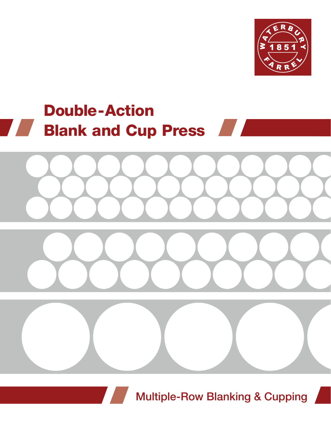

# Double-Action **Blank and Cup Press Allection**



**Multiple-Row Blanking & Cupping** 

e e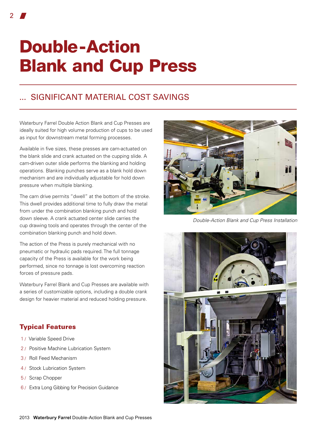# Double-Action Blank and Cup Press

### ... significant material cost savings

Waterbury Farrel Double Action Blank and Cup Presses are ideally suited for high volume production of cups to be used as input for downstream metal forming processes.

Available in five sizes, these presses are cam-actuated on the blank slide and crank actuated on the cupping slide. A cam-driven outer slide performs the blanking and holding operations. Blanking punches serve as a blank hold down mechanism and are individually adjustable for hold down pressure when multiple blanking.

The cam drive permits "dwell" at the bottom of the stroke. This dwell provides additional time to fully draw the metal from under the combination blanking punch and hold down sleeve. A crank actuated center slide carries the cup drawing tools and operates through the center of the combination blanking punch and hold down.

The action of the Press is purely mechanical with no pneumatic or hydraulic pads required. The full tonnage capacity of the Press is available for the work being performed, since no tonnage is lost overcoming reaction forces of pressure pads.

Waterbury Farrel Blank and Cup Presses are available with a series of customizable options, including a double crank design for heavier material and reduced holding pressure.

### Typical Features

- 1 / Variable Speed Drive
- 2 / Positive Machine Lubrication System
- 3 / Roll Feed Mechanism
- 4 / Stock Lubrication System
- 5 / Scrap Chopper
- 6 / Extra Long Gibbing for Precision Guidance

*Double-Action Blank and Cup Press Installation*

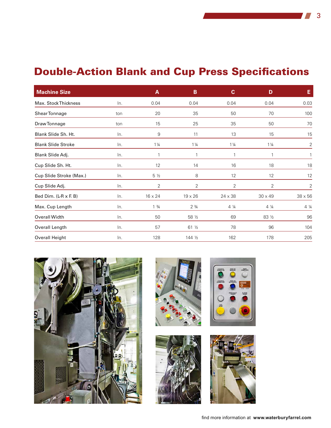## Double-Action Blank and Cup Press Specifications

| <b>Machine Size</b>       |     | A               | B               | $\mathbf{C}$   | D              | Е            |
|---------------------------|-----|-----------------|-----------------|----------------|----------------|--------------|
| Max. Stock Thickness      | In. | 0.04            | 0.04            | 0.04           | 0.04           | 0.03         |
| Shear Tonnage             | ton | 20              | 35              | 50             | 70             | 100          |
| Draw Tonnage              | ton | 15              | 25              | 35             | 50             | 70           |
| Blank Slide Sh. Ht.       | In. | 9               | 11              | 13             | 15             | 15           |
| <b>Blank Slide Stroke</b> | In. | $1\frac{1}{4}$  | $1\frac{1}{4}$  | $1\frac{1}{4}$ | $1\frac{1}{4}$ | 2            |
| Blank Slide Adj.          | In. |                 | 1               |                |                |              |
| Cup Slide Sh. Ht.         | In. | 12              | 14              | 16             | 18             | 18           |
| Cup Slide Stroke (Max.)   | In. | $5\frac{1}{2}$  | 8               | 12             | 12             | 12           |
| Cup Slide Adj.            | In. | 2               | 2               | 2              | 2              | 2            |
| Bed Dim. (L-R x F. B)     | In. | 16 x 24         | $19 \times 26$  | 24 x 38        | 30 x 49        | $38\times56$ |
| Max. Cup Length           | ln. | $1 \frac{3}{4}$ | $2 \frac{3}{4}$ | 4 1/4          | $4\frac{1}{4}$ | 4 1/4        |
| Overall Width             | In. | 50              | 58 1/2          | 69             | 83 ½           | 96           |
| Overall Length            | In. | 57              | 61 <sub>2</sub> | 78             | 96             | 104          |
| Overall Height            | In. | 128             | 144 1/2         | 162            | 178            | 205          |